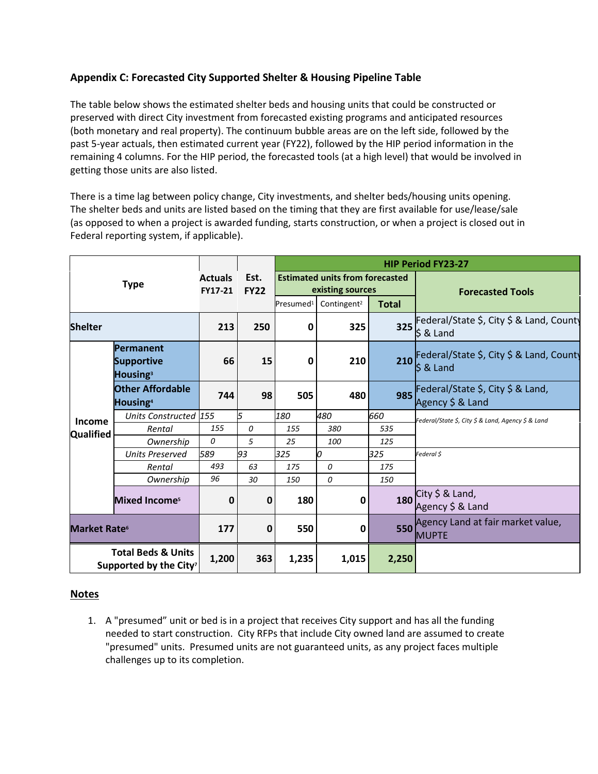## **Appendix C: Forecasted City Supported Shelter & Housing Pipeline Table**

The table below shows the estimated shelter beds and housing units that could be constructed or preserved with direct City investment from forecasted existing programs and anticipated resources (both monetary and real property). The continuum bubble areas are on the left side, followed by the past 5-year actuals, then estimated current year (FY22), followed by the HIP period information in the remaining 4 columns. For the HIP period, the forecasted tools (at a high level) that would be involved in getting those units are also listed.

There is a time lag between policy change, City investments, and shelter beds/housing units opening. The shelter beds and units are listed based on the timing that they are first available for use/lease/sale (as opposed to when a project is awarded funding, starts construction, or when a project is closed out in Federal reporting system, if applicable).

| <b>Type</b>                                                         |                                                        | <b>Actuals</b><br>FY17-21 | Est.<br><b>FY22</b> | <b>HIP Period FY23-27</b>                                  |                         |              |                                                                  |
|---------------------------------------------------------------------|--------------------------------------------------------|---------------------------|---------------------|------------------------------------------------------------|-------------------------|--------------|------------------------------------------------------------------|
|                                                                     |                                                        |                           |                     | <b>Estimated units from forecasted</b><br>existing sources |                         |              | <b>Forecasted Tools</b>                                          |
|                                                                     |                                                        |                           |                     | Presumed <sup>1</sup>                                      | Contingent <sup>2</sup> | <b>Total</b> |                                                                  |
| <b>Shelter</b>                                                      |                                                        | 213                       | 250                 | 0                                                          | 325                     | 325          | Federal/State \$, City \$ & Land, County<br>$$8$ Land            |
| Income<br><b>Qualified</b>                                          | Permanent<br><b>Supportive</b><br>Housing <sup>3</sup> | 66                        | 15                  | 0                                                          | 210                     | 210          | Federal/State \$, City \$ & Land, County<br>$\frac{1}{2}$ & Land |
|                                                                     | <b>Other Affordable</b><br>Housing <sup>4</sup>        | 744                       | 98                  | 505                                                        | 480                     | 985          | Federal/State \$, City \$ & Land,<br>Agency \$ & Land            |
|                                                                     | Units Constructed 155                                  |                           | 5                   | 180                                                        | 480                     | 660          | Federal/State \$, City \$ & Land, Agency \$ & Land               |
|                                                                     | Rental                                                 | 155                       | 0                   | 155                                                        | 380                     | 535          |                                                                  |
|                                                                     | Ownership                                              | 0                         | 5                   | 25                                                         | 100                     | 125          |                                                                  |
|                                                                     | <b>Units Preserved</b>                                 | 589                       | 93                  | 325                                                        | 0                       | 325          | Federal \$                                                       |
|                                                                     | Rental                                                 | 493                       | 63                  | 175                                                        | 0                       | 175          |                                                                  |
|                                                                     | Ownership                                              | 96                        | 30                  | 150                                                        | 0                       | 150          |                                                                  |
|                                                                     | <b>Mixed Incomes</b>                                   | 0                         | 0                   | 180                                                        | $\mathbf 0$             | 180          | City $$ 8$ Land,<br>Agency \$ & Land                             |
| Market Rate <sup>6</sup>                                            |                                                        | 177                       | 0                   | 550                                                        | 0                       | 550          | Agency Land at fair market value,<br><b>MUPTE</b>                |
| <b>Total Beds &amp; Units</b><br>Supported by the City <sup>7</sup> |                                                        | 1,200                     | 363                 | 1,235                                                      | 1,015                   | 2,250        |                                                                  |

## **Notes**

1. A "presumed" unit or bed is in a project that receives City support and has all the funding needed to start construction. City RFPs that include City owned land are assumed to create "presumed" units. Presumed units are not guaranteed units, as any project faces multiple challenges up to its completion.